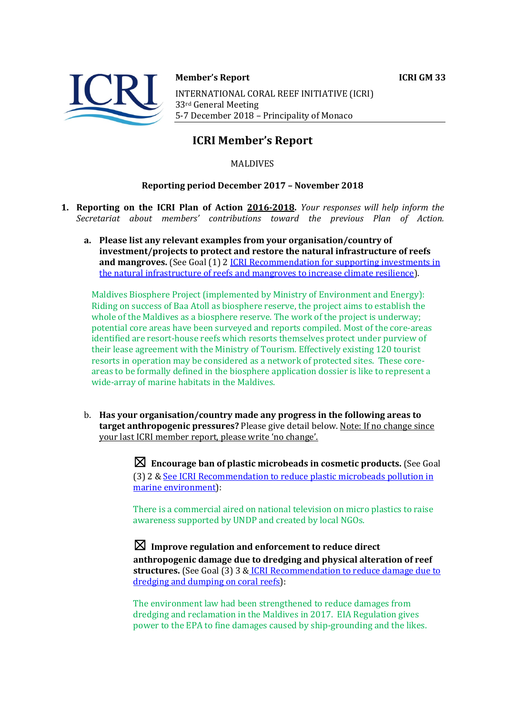

**Member's Report ICRI GM 33** 

INTERNATIONAL CORAL REEF INITIATIVE (ICRI) 33<sup>rd</sup> General Meeting 5-7 December 2018 - Principality of Monaco

# **ICRI Member's Report**

MALDIVES 

### **Reporting period December 2017 - November 2018**

- **1. Reporting on the ICRI Plan of Action 2016-2018.** *Your responses will help inform the Secretariat about members' contributions toward the previous Plan of Action.*
	- a. Please list any relevant examples from your organisation/country of **investment/projects to protect and restore the natural infrastructure of reefs and mangroves.** (See Goal (1) 2 ICRI Recommendation for supporting investments in the natural infrastructure of reefs and mangroves to increase climate resilience).

Maldives Biosphere Project (implemented by Ministry of Environment and Energy): Riding on success of Baa Atoll as biosphere reserve, the project aims to establish the whole of the Maldives as a biosphere reserve. The work of the project is underway; potential core areas have been surveyed and reports compiled. Most of the core-areas identified are resort-house reefs which resorts themselves protect under purview of their lease agreement with the Ministry of Tourism. Effectively existing 120 tourist resorts in operation may be considered as a network of protected sites. These coreareas to be formally defined in the biosphere application dossier is like to represent a wide-array of marine habitats in the Maldives.

b. Has your organisation/country made any progress in the following areas to **target anthropogenic pressures?** Please give detail below. Note: If no change since vour last ICRI member report, please write 'no change'.

> $\boxtimes$  **Encourage ban of plastic microbeads in cosmetic products.** (See Goal (3) 2 & See ICRI Recommendation to reduce plastic microbeads pollution in marine environment):

There is a commercial aired on national television on micro plastics to raise awareness supported by UNDP and created by local NGOs.

☒ **Improve regulation and enforcement to reduce direct**  anthropogenic damage due to dredging and physical alteration of reef **structures.** (See Goal (3) 3 & ICRI Recommendation to reduce damage due to dredging and dumping on coral reefs):

The environment law had been strengthened to reduce damages from dredging and reclamation in the Maldives in 2017. EIA Regulation gives power to the EPA to fine damages caused by ship-grounding and the likes.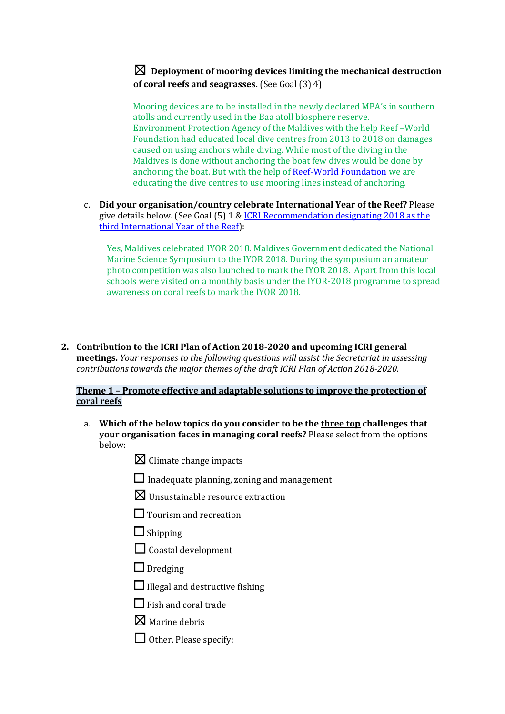## $\boxtimes$  Deployment of mooring devices limiting the mechanical destruction **of coral reefs and seagrasses.** (See Goal (3) 4).

Mooring devices are to be installed in the newly declared MPA's in southern atolls and currently used in the Baa atoll biosphere reserve. Environment Protection Agency of the Maldives with the help Reef – World Foundation had educated local dive centres from 2013 to 2018 on damages caused on using anchors while diving. While most of the diving in the Maldives is done without anchoring the boat few dives would be done by anchoring the boat. But with the help of Reef-World Foundation we are educating the dive centres to use mooring lines instead of anchoring.

c. **Did your organisation/country celebrate International Year of the Reef?** Please give details below. (See Goal (5) 1 & ICRI Recommendation designating 2018 as the third International Year of the Reef):

Yes, Maldives celebrated IYOR 2018. Maldives Government dedicated the National Marine Science Symposium to the IYOR 2018. During the symposium an amateur photo competition was also launched to mark the IYOR 2018. Apart from this local schools were visited on a monthly basis under the IYOR-2018 programme to spread awareness on coral reefs to mark the IYOR 2018.

**2.** Contribution to the ICRI Plan of Action 2018-2020 and upcoming ICRI general **meetings.** *Your responses to the following questions will assist the Secretariat in assessing contributions towards the major themes of the draft ICRI Plan of Action 2018-2020.* 

### **Theme 1 - Promote effective and adaptable solutions to improve the protection of coral reefs**

- a. Which of the below topics do you consider to be the three top challenges that **your organisation faces in managing coral reefs?** Please select from the options below:
	- $\boxtimes$  Climate change impacts
	- $\Box$  Inadequate planning, zoning and management
	- $\boxtimes$  Unsustainable resource extraction
	- $\Box$  Tourism and recreation
	- $\Box$  Shipping
	- $\Box$  Coastal development
	- □ Dredging
	- $\Box$  Illegal and destructive fishing
	- $\Box$  Fish and coral trade
	- $\nabla$  Marine debris
	- $\Box$  Other. Please specify: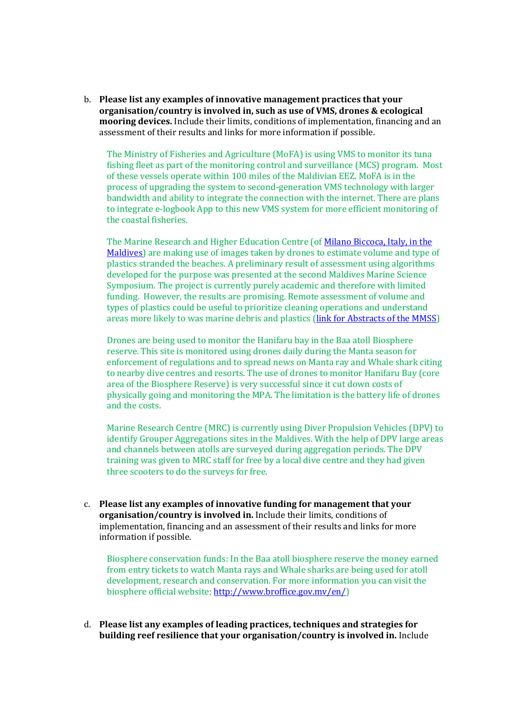b. Please list any examples of innovative management practices that your **organisation/country is involved in, such as use of VMS, drones & ecological mooring devices.** Include their limits, conditions of implementation, financing and an assessment of their results and links for more information if possible.

The Ministry of Fisheries and Agriculture (MoFA) is using VMS to monitor its tuna fishing fleet as part of the monitoring control and surveillance (MCS) program. Most of these vessels operate within 100 miles of the Maldivian EEZ. MoFA is in the process of upgrading the system to second-generation VMS technology with larger bandwidth and ability to integrate the connection with the internet. There are plans to integrate e-logbook App to this new VMS system for more efficient monitoring of the coastal fisheries.

The Marine Research and Higher Education Centre (of Milano Biccoca, Italy, in the Maldives) are making use of images taken by drones to estimate volume and type of plastics stranded the beaches. A preliminary result of assessment using algorithms developed for the purpose was presented at the second Maldives Marine Science Symposium. The project is currently purely academic and therefore with limited funding. However, the results are promising. Remote assessment of volume and types of plastics could be useful to prioritize cleaning operations and understand areas more likely to was marine debris and plastics (link for Abstracts of the MMSS)

Drones are being used to monitor the Hanifaru bay in the Baa atoll Biosphere reserve. This site is monitored using drones daily during the Manta season for enforcement of regulations and to spread news on Manta ray and Whale shark citing to nearby dive centres and resorts. The use of drones to monitor Hanifaru Bay (core area of the Biosphere Reserve) is very successful since it cut down costs of physically going and monitoring the MPA. The limitation is the battery life of drones and the costs.

Marine Research Centre (MRC) is currently using Diver Propulsion Vehicles (DPV) to identify Grouper Aggregations sites in the Maldives. With the help of DPV large areas and channels between atolls are surveyed during aggregation periods. The DPV training was given to MRC staff for free by a local dive centre and they had given three scooters to do the surveys for free.

c. Please list any examples of innovative funding for management that your **organisation/country is involved in.** Include their limits, conditions of implementation, financing and an assessment of their results and links for more information if possible.

Biosphere conservation funds: In the Baa atoll biosphere reserve the money earned from entry tickets to watch Manta rays and Whale sharks are being used for atoll development, research and conservation. For more information you can visit the biosphere official website; http://www.broffice.gov.mv/en/)

d. Please list any examples of leading practices, techniques and strategies for **building reef resilience that your organisation/country is involved in.** Include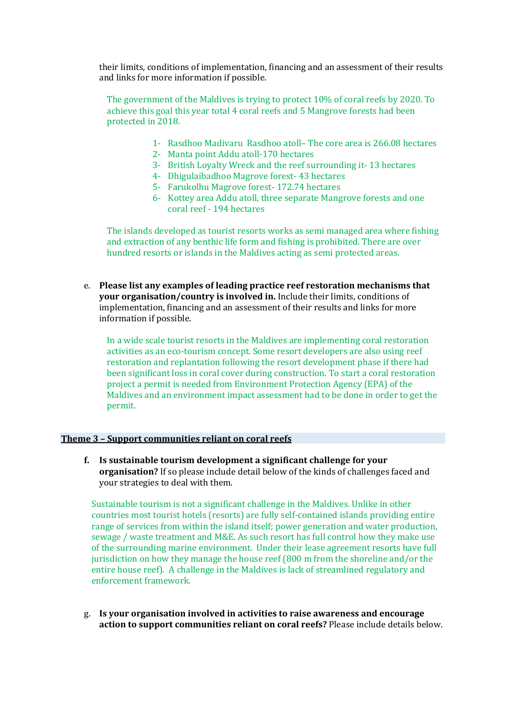their limits, conditions of implementation, financing and an assessment of their results and links for more information if possible.

The government of the Maldives is trying to protect  $10\%$  of coral reefs by 2020. To achieve this goal this year total 4 coral reefs and 5 Mangrove forests had been protected in 2018.

- 1- Rasdhoo Madivaru Rasdhoo atoll– The core area is 266.08 hectares
- 2- Manta point Addu atoll-170 hectares
- 3- British Loyalty Wreck and the reef surrounding it-13 hectares
- 4- Dhigulaibadhoo Magrove forest- 43 hectares
- 5- Farukolhu Magrove forest- 172.74 hectares
- 6- Kottey area Addu atoll, three separate Mangrove forests and one coral reef - 194 hectares

The islands developed as tourist resorts works as semi managed area where fishing and extraction of any benthic life form and fishing is prohibited. There are over hundred resorts or islands in the Maldives acting as semi protected areas.

e. Please list any examples of leading practice reef restoration mechanisms that **your organisation/country is involved in.** Include their limits, conditions of implementation, financing and an assessment of their results and links for more information if possible.

In a wide scale tourist resorts in the Maldives are implementing coral restoration activities as an eco-tourism concept. Some resort developers are also using reef restoration and replantation following the resort development phase if there had been significant loss in coral cover during construction. To start a coral restoration project a permit is needed from Environment Protection Agency (EPA) of the Maldives and an environment impact assessment had to be done in order to get the permit.

#### **Theme 3 - Support communities reliant on coral reefs**

**f.** Is sustainable tourism development a significant challenge for your **organisation?** If so please include detail below of the kinds of challenges faced and your strategies to deal with them.

Sustainable tourism is not a significant challenge in the Maldives. Unlike in other countries most tourist hotels (resorts) are fully self-contained islands providing entire range of services from within the island itself; power generation and water production, sewage / waste treatment and M&E. As such resort has full control how they make use of the surrounding marine environment. Under their lease agreement resorts have full jurisdiction on how they manage the house reef (800 m from the shoreline and/or the entire house reef). A challenge in the Maldives is lack of streamlined regulatory and enforcement framework.

g. Is your organisation involved in activities to raise awareness and encourage action to support communities reliant on coral reefs? Please include details below.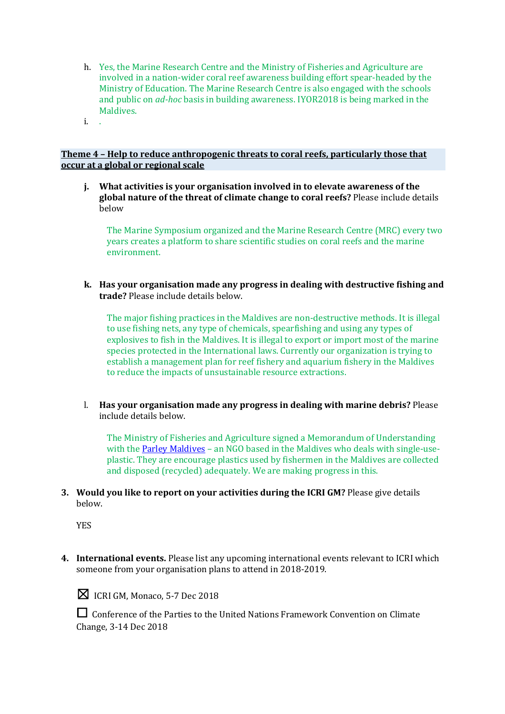- h. Yes, the Marine Research Centre and the Ministry of Fisheries and Agriculture are involved in a nation-wider coral reef awareness building effort spear-headed by the Ministry of Education. The Marine Research Centre is also engaged with the schools and public on *ad-hoc* basis in building awareness. IYOR2018 is being marked in the Maldives.
- i. .

### **Theme 4 - Help to reduce anthropogenic threats to coral reefs, particularly those that occur at a global or regional scale**

**j.** What activities is your organisation involved in to elevate awareness of the **global nature of the threat of climate change to coral reefs?** Please include details below

The Marine Symposium organized and the Marine Research Centre (MRC) every two years creates a platform to share scientific studies on coral reefs and the marine environment. 

**k.** Has your organisation made any progress in dealing with destructive fishing and **trade?** Please include details below.

The major fishing practices in the Maldives are non-destructive methods. It is illegal to use fishing nets, any type of chemicals, spearfishing and using any types of explosives to fish in the Maldives. It is illegal to export or import most of the marine species protected in the International laws. Currently our organization is trying to establish a management plan for reef fishery and aquarium fishery in the Maldives to reduce the impacts of unsustainable resource extractions.

l. Has your organisation made any progress in dealing with marine debris? Please include details below.

The Ministry of Fisheries and Agriculture signed a Memorandum of Understanding with the **Parley Maldives** - an NGO based in the Maldives who deals with single-useplastic. They are encourage plastics used by fishermen in the Maldives are collected and disposed (recycled) adequately. We are making progress in this.

**3.** Would you like to report on your activities during the ICRI GM? Please give details below.

YES

**4.** International events. Please list any upcoming international events relevant to ICRI which someone from your organisation plans to attend in 2018-2019.



 $\boxtimes$  ICRI GM, Monaco, 5-7 Dec 2018

□ Conference of the Parties to the United Nations Framework Convention on Climate Change, 3-14 Dec 2018